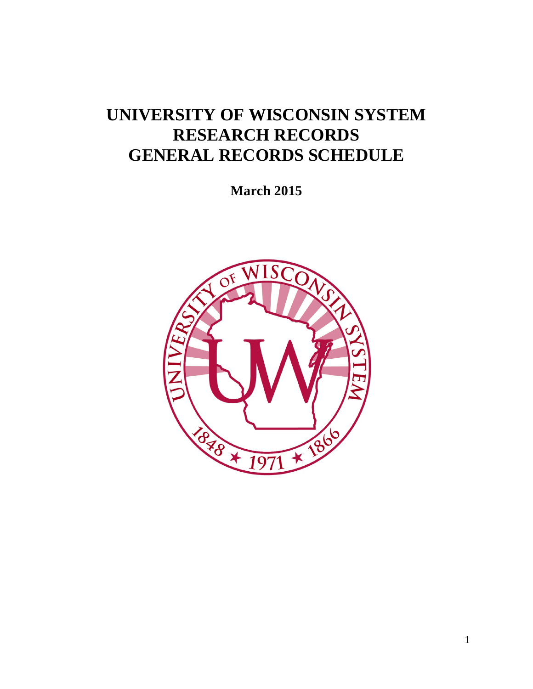# **UNIVERSITY OF WISCONSIN SYSTEM RESEARCH RECORDS GENERAL RECORDS SCHEDULE**

**March 2015**

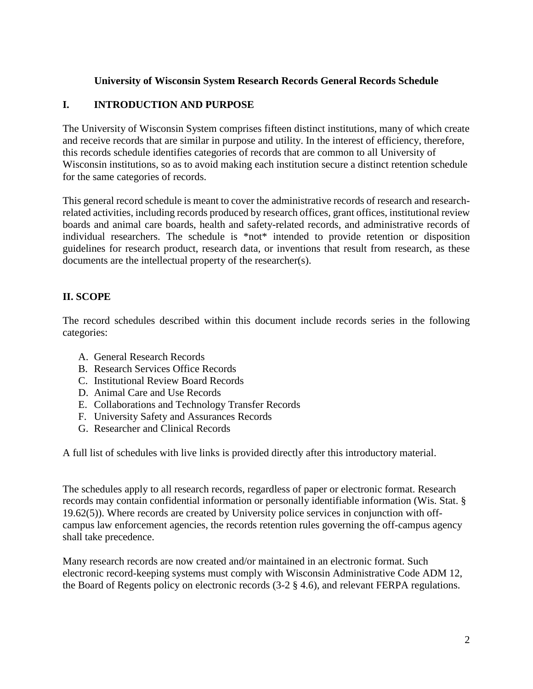#### **University of Wisconsin System Research Records General Records Schedule**

#### **I. INTRODUCTION AND PURPOSE**

The University of Wisconsin System comprises fifteen distinct institutions, many of which create and receive records that are similar in purpose and utility. In the interest of efficiency, therefore, this records schedule identifies categories of records that are common to all University of Wisconsin institutions, so as to avoid making each institution secure a distinct retention schedule for the same categories of records.

This general record schedule is meant to cover the administrative records of research and researchrelated activities, including records produced by research offices, grant offices, institutional review boards and animal care boards, health and safety-related records, and administrative records of individual researchers. The schedule is \*not\* intended to provide retention or disposition guidelines for research product, research data, or inventions that result from research, as these documents are the intellectual property of the researcher(s).

#### **II. SCOPE**

The record schedules described within this document include records series in the following categories:

- A. General Research Records
- B. Research Services Office Records
- C. Institutional Review Board Records
- D. Animal Care and Use Records
- E. Collaborations and Technology Transfer Records
- F. University Safety and Assurances Records
- G. Researcher and Clinical Records

A full list of schedules with live links is provided directly after this introductory material.

The schedules apply to all research records, regardless of paper or electronic format. Research records may contain confidential information or personally identifiable information (Wis. Stat. § 19.62(5)). Where records are created by University police services in conjunction with offcampus law enforcement agencies, the records retention rules governing the off-campus agency shall take precedence.

Many research records are now created and/or maintained in an electronic format. Such electronic record-keeping systems must comply with Wisconsin Administrative Code ADM 12, the Board of Regents policy on electronic records (3-2 § 4.6), and relevant FERPA regulations.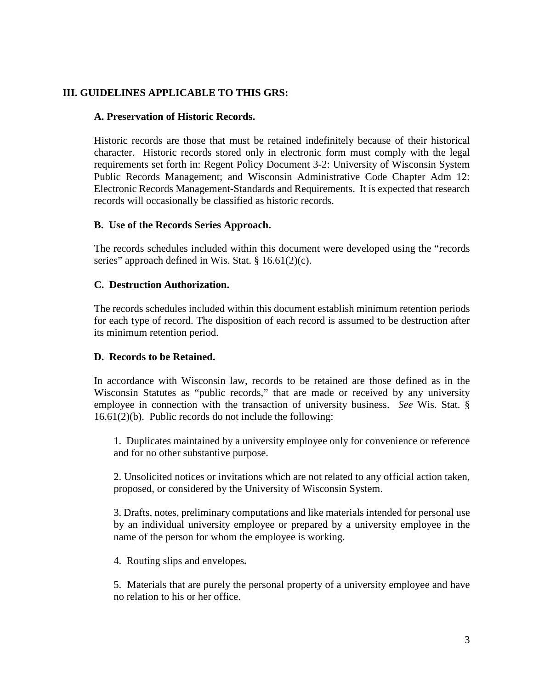#### **III. GUIDELINES APPLICABLE TO THIS GRS:**

#### **A. Preservation of Historic Records.**

Historic records are those that must be retained indefinitely because of their historical character. Historic records stored only in electronic form must comply with the legal requirements set forth in: Regent Policy Document 3-2: University of Wisconsin System Public Records Management; and Wisconsin Administrative Code Chapter Adm 12: Electronic Records Management-Standards and Requirements. It is expected that research records will occasionally be classified as historic records.

#### **B. Use of the Records Series Approach.**

The records schedules included within this document were developed using the "records series" approach defined in Wis. Stat. § 16.61(2)(c).

#### **C. Destruction Authorization.**

The records schedules included within this document establish minimum retention periods for each type of record. The disposition of each record is assumed to be destruction after its minimum retention period.

#### **D. Records to be Retained.**

In accordance with Wisconsin law, records to be retained are those defined as in the Wisconsin Statutes as "public records," that are made or received by any university employee in connection with the transaction of university business. *See* Wis. Stat. § 16.61(2)(b). Public records do not include the following:

1. Duplicates maintained by a university employee only for convenience or reference and for no other substantive purpose.

2. Unsolicited notices or invitations which are not related to any official action taken, proposed, or considered by the University of Wisconsin System.

3. Drafts, notes, preliminary computations and like materials intended for personal use by an individual university employee or prepared by a university employee in the name of the person for whom the employee is working.

4. Routing slips and envelopes**.**

5. Materials that are purely the personal property of a university employee and have no relation to his or her office.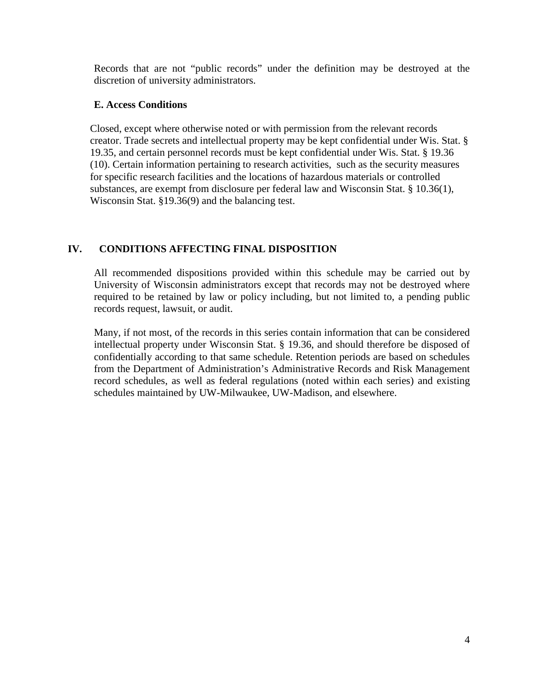Records that are not "public records" under the definition may be destroyed at the discretion of university administrators.

#### **E. Access Conditions**

Closed, except where otherwise noted or with permission from the relevant records creator. Trade secrets and intellectual property may be kept confidential under Wis. Stat. § 19.35, and certain personnel records must be kept confidential under Wis. Stat. § 19.36 (10). Certain information pertaining to research activities, such as the security measures for specific research facilities and the locations of hazardous materials or controlled substances, are exempt from disclosure per federal law and Wisconsin Stat. § 10.36(1), Wisconsin Stat. §19.36(9) and the balancing test.

#### **IV. CONDITIONS AFFECTING FINAL DISPOSITION**

All recommended dispositions provided within this schedule may be carried out by University of Wisconsin administrators except that records may not be destroyed where required to be retained by law or policy including, but not limited to, a pending public records request, lawsuit, or audit.

Many, if not most, of the records in this series contain information that can be considered intellectual property under Wisconsin Stat. § 19.36, and should therefore be disposed of confidentially according to that same schedule. Retention periods are based on schedules from the Department of Administration's Administrative Records and Risk Management record schedules, as well as federal regulations (noted within each series) and existing schedules maintained by UW-Milwaukee, UW-Madison, and elsewhere.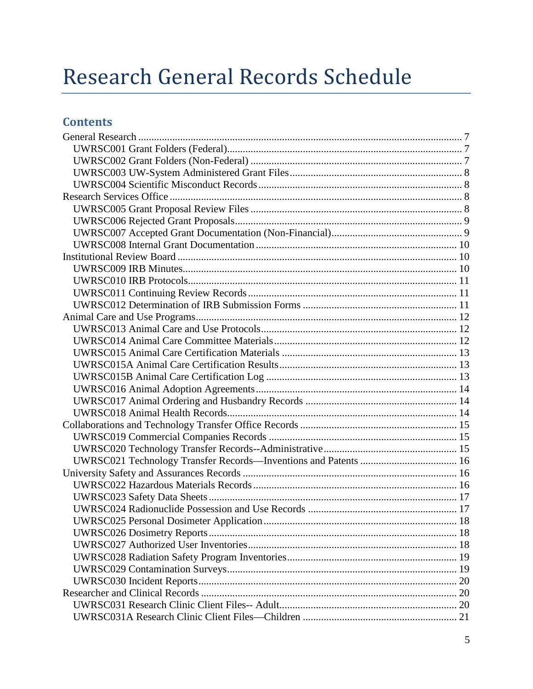# Research General Records Schedule

# **Contents**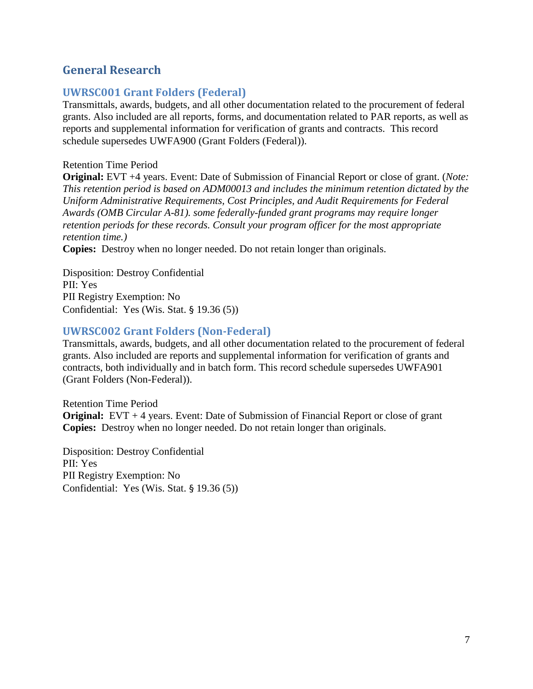# <span id="page-6-0"></span>**General Research**

#### <span id="page-6-1"></span>**UWRSC001 Grant Folders (Federal)**

Transmittals, awards, budgets, and all other documentation related to the procurement of federal grants. Also included are all reports, forms, and documentation related to PAR reports, as well as reports and supplemental information for verification of grants and contracts. This record schedule supersedes UWFA900 (Grant Folders (Federal)).

#### Retention Time Period

**Original:** EVT +4 years. Event: Date of Submission of Financial Report or close of grant. (*Note: This retention period is based on ADM00013 and includes the minimum retention dictated by the Uniform Administrative Requirements, Cost Principles, and Audit Requirements for Federal Awards (OMB Circular A-81). some federally-funded grant programs may require longer retention periods for these records. Consult your program officer for the most appropriate retention time.)*

**Copies:** Destroy when no longer needed. Do not retain longer than originals.

Disposition: Destroy Confidential PII: Yes PII Registry Exemption: No Confidential: Yes (Wis. Stat. § 19.36 (5))

#### <span id="page-6-2"></span>**UWRSC002 Grant Folders (Non-Federal)**

Transmittals, awards, budgets, and all other documentation related to the procurement of federal grants. Also included are reports and supplemental information for verification of grants and contracts, both individually and in batch form. This record schedule supersedes UWFA901 (Grant Folders (Non-Federal)).

Retention Time Period **Original:** EVT + 4 years. Event: Date of Submission of Financial Report or close of grant **Copies:** Destroy when no longer needed. Do not retain longer than originals.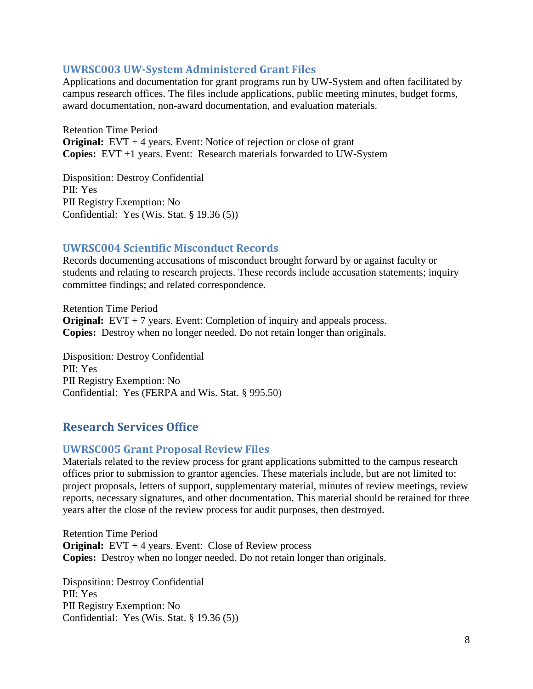#### <span id="page-7-0"></span>**UWRSC003 UW-System Administered Grant Files**

Applications and documentation for grant programs run by UW-System and often facilitated by campus research offices. The files include applications, public meeting minutes, budget forms, award documentation, non-award documentation, and evaluation materials.

Retention Time Period **Original:** EVT + 4 years. Event: Notice of rejection or close of grant **Copies:** EVT +1 years. Event: Research materials forwarded to UW-System

Disposition: Destroy Confidential PII: Yes PII Registry Exemption: No Confidential: Yes (Wis. Stat. § 19.36 (5))

#### <span id="page-7-1"></span>**UWRSC004 Scientific Misconduct Records**

Records documenting accusations of misconduct brought forward by or against faculty or students and relating to research projects. These records include accusation statements; inquiry committee findings; and related correspondence.

Retention Time Period **Original:** EVT + 7 years. Event: Completion of inquiry and appeals process. **Copies:** Destroy when no longer needed. Do not retain longer than originals.

Disposition: Destroy Confidential PII: Yes PII Registry Exemption: No Confidential: Yes (FERPA and Wis. Stat. § 995.50)

# <span id="page-7-2"></span>**Research Services Office**

#### <span id="page-7-3"></span>**UWRSC005 Grant Proposal Review Files**

Materials related to the review process for grant applications submitted to the campus research offices prior to submission to grantor agencies. These materials include, but are not limited to: project proposals, letters of support, supplementary material, minutes of review meetings, review reports, necessary signatures, and other documentation. This material should be retained for three years after the close of the review process for audit purposes, then destroyed.

Retention Time Period **Original:** EVT + 4 years. Event: Close of Review process **Copies:** Destroy when no longer needed. Do not retain longer than originals.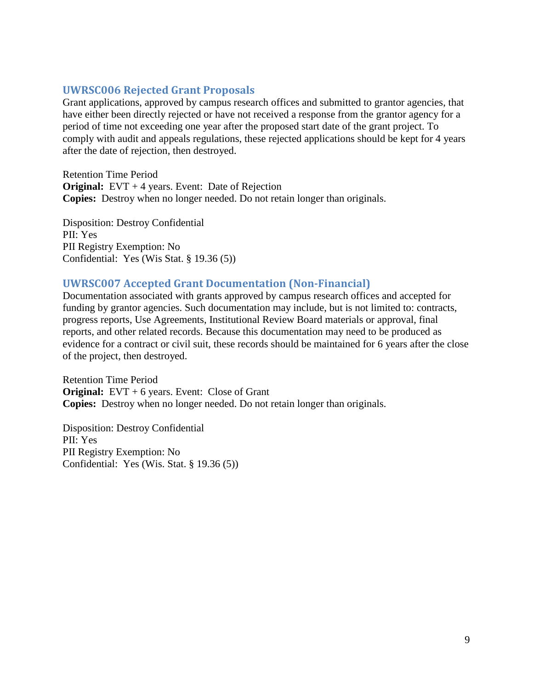#### <span id="page-8-0"></span>**UWRSC006 Rejected Grant Proposals**

Grant applications, approved by campus research offices and submitted to grantor agencies, that have either been directly rejected or have not received a response from the grantor agency for a period of time not exceeding one year after the proposed start date of the grant project. To comply with audit and appeals regulations, these rejected applications should be kept for 4 years after the date of rejection, then destroyed.

Retention Time Period **Original:** EVT + 4 years. Event: Date of Rejection **Copies:** Destroy when no longer needed. Do not retain longer than originals.

Disposition: Destroy Confidential PII: Yes PII Registry Exemption: No Confidential: Yes (Wis Stat. § 19.36 (5))

#### <span id="page-8-1"></span>**UWRSC007 Accepted Grant Documentation (Non-Financial)**

Documentation associated with grants approved by campus research offices and accepted for funding by grantor agencies. Such documentation may include, but is not limited to: contracts, progress reports, Use Agreements, Institutional Review Board materials or approval, final reports, and other related records. Because this documentation may need to be produced as evidence for a contract or civil suit, these records should be maintained for 6 years after the close of the project, then destroyed.

Retention Time Period **Original:** EVT + 6 years. Event: Close of Grant **Copies:** Destroy when no longer needed. Do not retain longer than originals.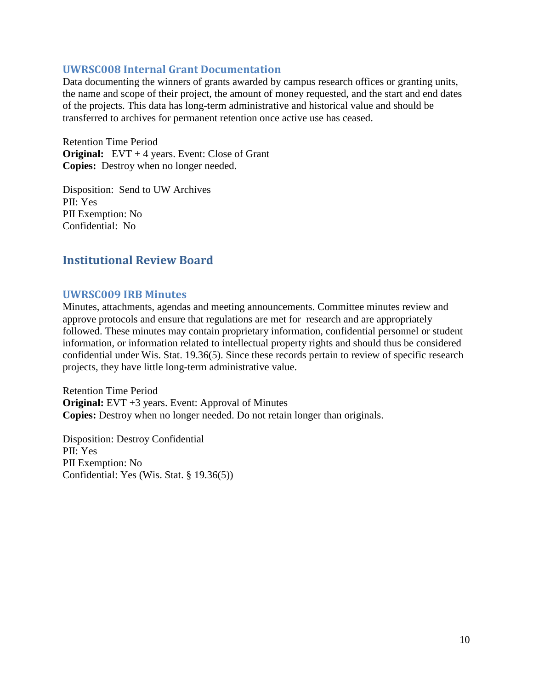#### <span id="page-9-0"></span>**UWRSC008 Internal Grant Documentation**

Data documenting the winners of grants awarded by campus research offices or granting units, the name and scope of their project, the amount of money requested, and the start and end dates of the projects. This data has long-term administrative and historical value and should be transferred to archives for permanent retention once active use has ceased.

Retention Time Period **Original:** EVT + 4 years. Event: Close of Grant **Copies:** Destroy when no longer needed.

Disposition: Send to UW Archives PII: Yes PII Exemption: No Confidential: No

# <span id="page-9-1"></span>**Institutional Review Board**

#### <span id="page-9-2"></span>**UWRSC009 IRB Minutes**

Minutes, attachments, agendas and meeting announcements. Committee minutes review and approve protocols and ensure that regulations are met for research and are appropriately followed. These minutes may contain proprietary information, confidential personnel or student information, or information related to intellectual property rights and should thus be considered confidential under Wis. Stat. 19.36(5). Since these records pertain to review of specific research projects, they have little long-term administrative value.

Retention Time Period **Original:** EVT +3 years. Event: Approval of Minutes **Copies:** Destroy when no longer needed. Do not retain longer than originals.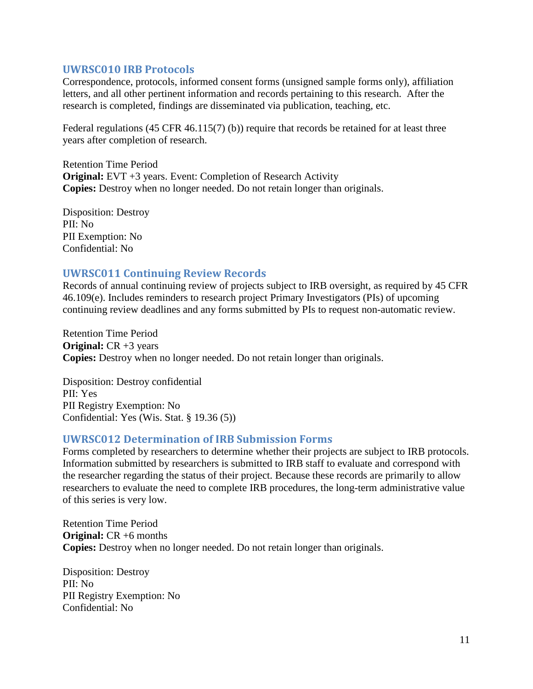#### <span id="page-10-0"></span>**UWRSC010 IRB Protocols**

Correspondence, protocols, informed consent forms (unsigned sample forms only), affiliation letters, and all other pertinent information and records pertaining to this research. After the research is completed, findings are disseminated via publication, teaching, etc.

Federal regulations (45 CFR 46.115(7) (b)) require that records be retained for at least three years after completion of research.

Retention Time Period **Original:** EVT +3 years. Event: Completion of Research Activity **Copies:** Destroy when no longer needed. Do not retain longer than originals.

Disposition: Destroy PII: No PII Exemption: No Confidential: No

#### <span id="page-10-1"></span>**UWRSC011 Continuing Review Records**

Records of annual continuing review of projects subject to IRB oversight, as required by 45 CFR 46.109(e). Includes reminders to research project Primary Investigators (PIs) of upcoming continuing review deadlines and any forms submitted by PIs to request non-automatic review.

Retention Time Period **Original:** CR +3 years **Copies:** Destroy when no longer needed. Do not retain longer than originals.

Disposition: Destroy confidential PII: Yes PII Registry Exemption: No Confidential: Yes (Wis. Stat. § 19.36 (5))

#### <span id="page-10-2"></span>**UWRSC012 Determination of IRB Submission Forms**

Forms completed by researchers to determine whether their projects are subject to IRB protocols. Information submitted by researchers is submitted to IRB staff to evaluate and correspond with the researcher regarding the status of their project. Because these records are primarily to allow researchers to evaluate the need to complete IRB procedures, the long-term administrative value of this series is very low.

Retention Time Period **Original:** CR +6 months **Copies:** Destroy when no longer needed. Do not retain longer than originals.

Disposition: Destroy PII: No PII Registry Exemption: No Confidential: No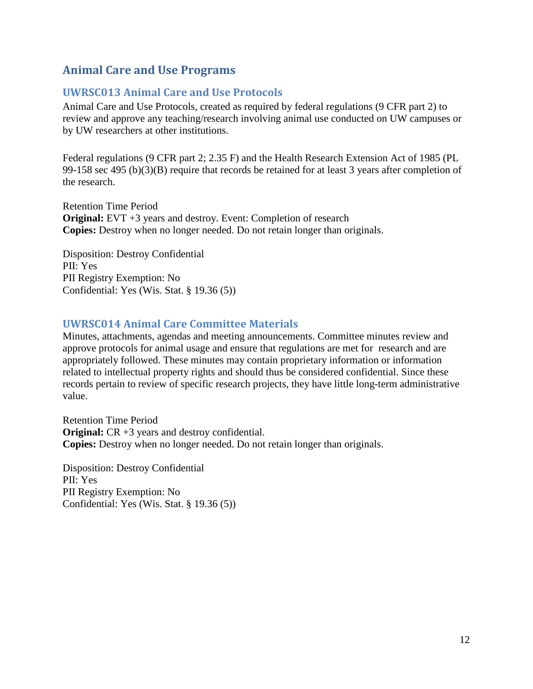# <span id="page-11-0"></span>**Animal Care and Use Programs**

#### <span id="page-11-1"></span>**UWRSC013 Animal Care and Use Protocols**

Animal Care and Use Protocols, created as required by federal regulations (9 CFR part 2) to review and approve any teaching/research involving animal use conducted on UW campuses or by UW researchers at other institutions.

Federal regulations (9 CFR part 2; 2.35 F) and the Health Research Extension Act of 1985 (PL 99-158 sec 495 (b)(3)(B) require that records be retained for at least 3 years after completion of the research.

Retention Time Period **Original:** EVT +3 years and destroy. Event: Completion of research **Copies:** Destroy when no longer needed. Do not retain longer than originals.

Disposition: Destroy Confidential PII: Yes PII Registry Exemption: No Confidential: Yes (Wis. Stat. § 19.36 (5))

#### <span id="page-11-2"></span>**UWRSC014 Animal Care Committee Materials**

Minutes, attachments, agendas and meeting announcements. Committee minutes review and approve protocols for animal usage and ensure that regulations are met for research and are appropriately followed. These minutes may contain proprietary information or information related to intellectual property rights and should thus be considered confidential. Since these records pertain to review of specific research projects, they have little long-term administrative value.

Retention Time Period **Original:** CR +3 years and destroy confidential. **Copies:** Destroy when no longer needed. Do not retain longer than originals.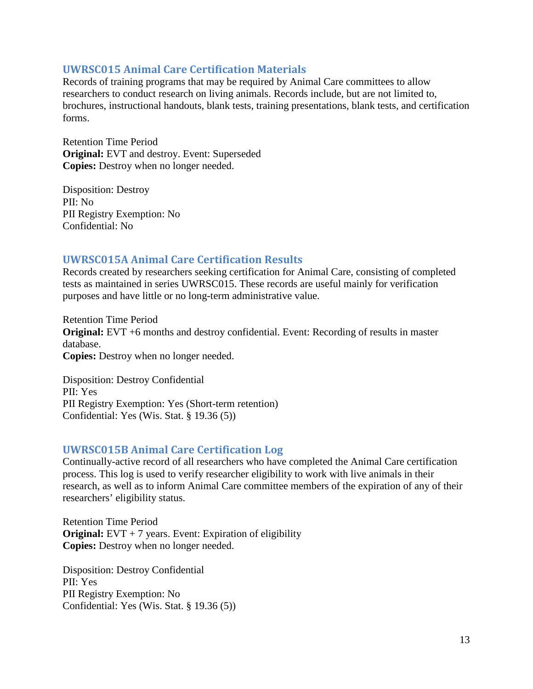#### <span id="page-12-0"></span>**UWRSC015 Animal Care Certification Materials**

Records of training programs that may be required by Animal Care committees to allow researchers to conduct research on living animals. Records include, but are not limited to, brochures, instructional handouts, blank tests, training presentations, blank tests, and certification forms.

Retention Time Period **Original:** EVT and destroy. Event: Superseded **Copies:** Destroy when no longer needed.

Disposition: Destroy PII: No PII Registry Exemption: No Confidential: No

#### <span id="page-12-1"></span>**UWRSC015A Animal Care Certification Results**

Records created by researchers seeking certification for Animal Care, consisting of completed tests as maintained in series UWRSC015. These records are useful mainly for verification purposes and have little or no long-term administrative value.

Retention Time Period **Original:** EVT +6 months and destroy confidential. Event: Recording of results in master database. **Copies:** Destroy when no longer needed.

Disposition: Destroy Confidential PII: Yes PII Registry Exemption: Yes (Short-term retention) Confidential: Yes (Wis. Stat. § 19.36 (5))

#### <span id="page-12-2"></span>**UWRSC015B Animal Care Certification Log**

Continually-active record of all researchers who have completed the Animal Care certification process. This log is used to verify researcher eligibility to work with live animals in their research, as well as to inform Animal Care committee members of the expiration of any of their researchers' eligibility status.

Retention Time Period **Original:** EVT + 7 years. Event: Expiration of eligibility **Copies:** Destroy when no longer needed.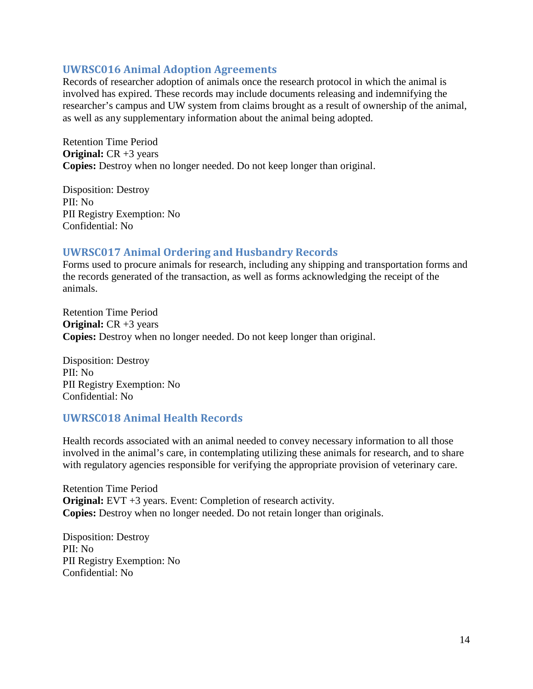#### <span id="page-13-0"></span>**UWRSC016 Animal Adoption Agreements**

Records of researcher adoption of animals once the research protocol in which the animal is involved has expired. These records may include documents releasing and indemnifying the researcher's campus and UW system from claims brought as a result of ownership of the animal, as well as any supplementary information about the animal being adopted.

Retention Time Period **Original:** CR +3 years **Copies:** Destroy when no longer needed. Do not keep longer than original.

Disposition: Destroy PII: No PII Registry Exemption: No Confidential: No

## <span id="page-13-1"></span>**UWRSC017 Animal Ordering and Husbandry Records**

Forms used to procure animals for research, including any shipping and transportation forms and the records generated of the transaction, as well as forms acknowledging the receipt of the animals.

Retention Time Period **Original:** CR +3 years **Copies:** Destroy when no longer needed. Do not keep longer than original.

Disposition: Destroy PII: No PII Registry Exemption: No Confidential: No

#### <span id="page-13-2"></span>**UWRSC018 Animal Health Records**

Health records associated with an animal needed to convey necessary information to all those involved in the animal's care, in contemplating utilizing these animals for research, and to share with regulatory agencies responsible for verifying the appropriate provision of veterinary care.

Retention Time Period **Original:** EVT +3 years. Event: Completion of research activity. **Copies:** Destroy when no longer needed. Do not retain longer than originals.

Disposition: Destroy PII: No PII Registry Exemption: No Confidential: No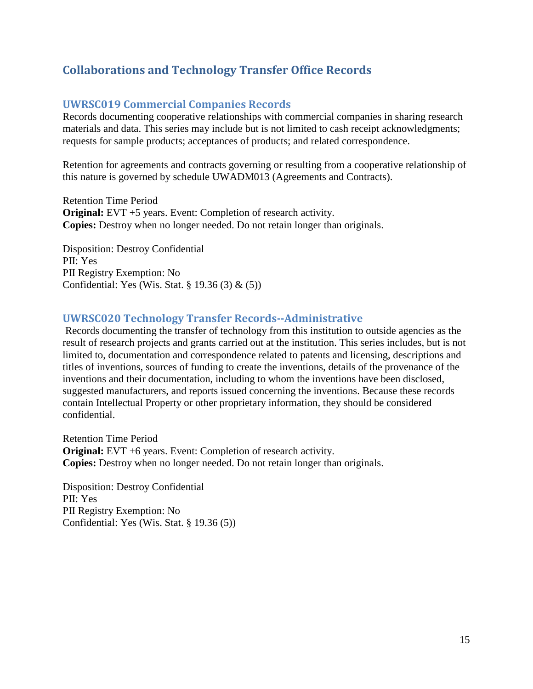# <span id="page-14-0"></span>**Collaborations and Technology Transfer Office Records**

#### <span id="page-14-1"></span>**UWRSC019 Commercial Companies Records**

Records documenting cooperative relationships with commercial companies in sharing research materials and data. This series may include but is not limited to cash receipt acknowledgments; requests for sample products; acceptances of products; and related correspondence.

Retention for agreements and contracts governing or resulting from a cooperative relationship of this nature is governed by schedule UWADM013 (Agreements and Contracts).

Retention Time Period **Original:** EVT +5 years. Event: Completion of research activity. **Copies:** Destroy when no longer needed. Do not retain longer than originals.

Disposition: Destroy Confidential PII: Yes PII Registry Exemption: No Confidential: Yes (Wis. Stat. § 19.36 (3) & (5))

#### <span id="page-14-2"></span>**UWRSC020 Technology Transfer Records--Administrative**

Records documenting the transfer of technology from this institution to outside agencies as the result of research projects and grants carried out at the institution. This series includes, but is not limited to, documentation and correspondence related to patents and licensing, descriptions and titles of inventions, sources of funding to create the inventions, details of the provenance of the inventions and their documentation, including to whom the inventions have been disclosed, suggested manufacturers, and reports issued concerning the inventions. Because these records contain Intellectual Property or other proprietary information, they should be considered confidential.

Retention Time Period **Original:** EVT +6 years. Event: Completion of research activity. **Copies:** Destroy when no longer needed. Do not retain longer than originals.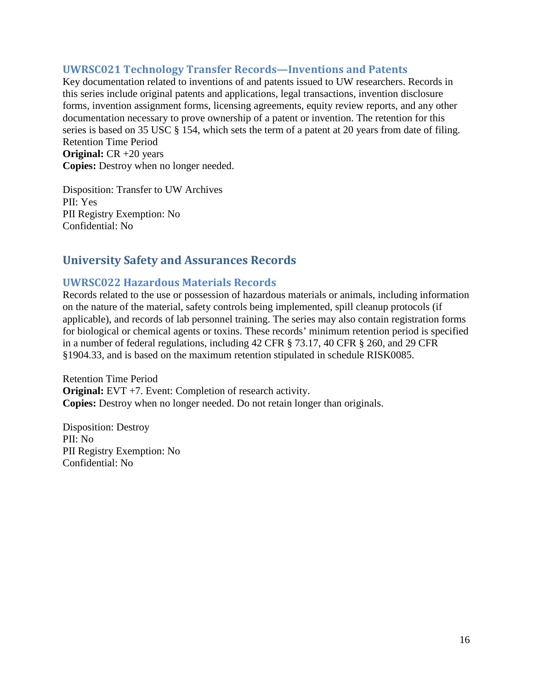#### <span id="page-15-0"></span>**UWRSC021 Technology Transfer Records—Inventions and Patents**

Key documentation related to inventions of and patents issued to UW researchers. Records in this series include original patents and applications, legal transactions, invention disclosure forms, invention assignment forms, licensing agreements, equity review reports, and any other documentation necessary to prove ownership of a patent or invention. The retention for this series is based on 35 USC § 154, which sets the term of a patent at 20 years from date of filing. Retention Time Period

**Original:** CR +20 years **Copies:** Destroy when no longer needed.

Disposition: Transfer to UW Archives PII: Yes PII Registry Exemption: No Confidential: No

# <span id="page-15-1"></span>**University Safety and Assurances Records**

#### <span id="page-15-2"></span>**UWRSC022 Hazardous Materials Records**

Records related to the use or possession of hazardous materials or animals, including information on the nature of the material, safety controls being implemented, spill cleanup protocols (if applicable), and records of lab personnel training. The series may also contain registration forms for biological or chemical agents or toxins. These records' minimum retention period is specified in a number of federal regulations, including 42 CFR § 73.17, 40 CFR § 260, and 29 CFR §1904.33, and is based on the maximum retention stipulated in schedule RISK0085.

Retention Time Period **Original:** EVT +7. Event: Completion of research activity. **Copies:** Destroy when no longer needed. Do not retain longer than originals.

Disposition: Destroy PII: No PII Registry Exemption: No Confidential: No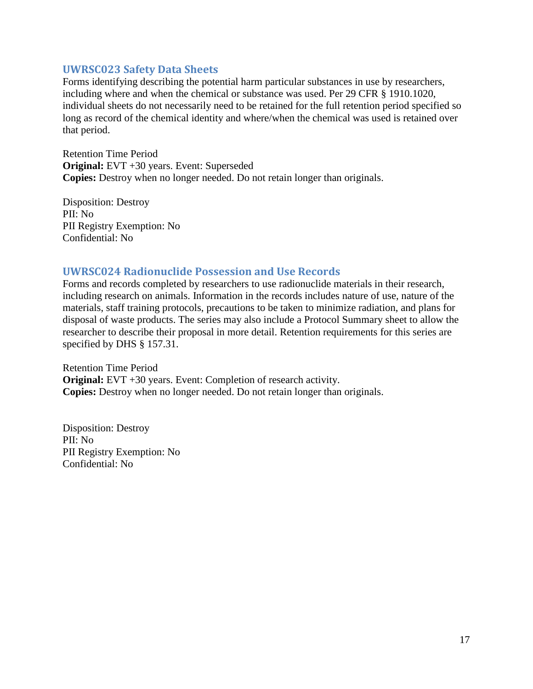#### <span id="page-16-0"></span>**UWRSC023 Safety Data Sheets**

Forms identifying describing the potential harm particular substances in use by researchers, including where and when the chemical or substance was used. Per 29 CFR § 1910.1020, individual sheets do not necessarily need to be retained for the full retention period specified so long as record of the chemical identity and where/when the chemical was used is retained over that period.

Retention Time Period **Original:** EVT +30 years. Event: Superseded **Copies:** Destroy when no longer needed. Do not retain longer than originals.

Disposition: Destroy PII: No PII Registry Exemption: No Confidential: No

#### <span id="page-16-1"></span>**UWRSC024 Radionuclide Possession and Use Records**

Forms and records completed by researchers to use radionuclide materials in their research, including research on animals. Information in the records includes nature of use, nature of the materials, staff training protocols, precautions to be taken to minimize radiation, and plans for disposal of waste products. The series may also include a Protocol Summary sheet to allow the researcher to describe their proposal in more detail. Retention requirements for this series are specified by DHS § 157.31.

Retention Time Period **Original:** EVT +30 years. Event: Completion of research activity. **Copies:** Destroy when no longer needed. Do not retain longer than originals.

Disposition: Destroy PII: No PII Registry Exemption: No Confidential: No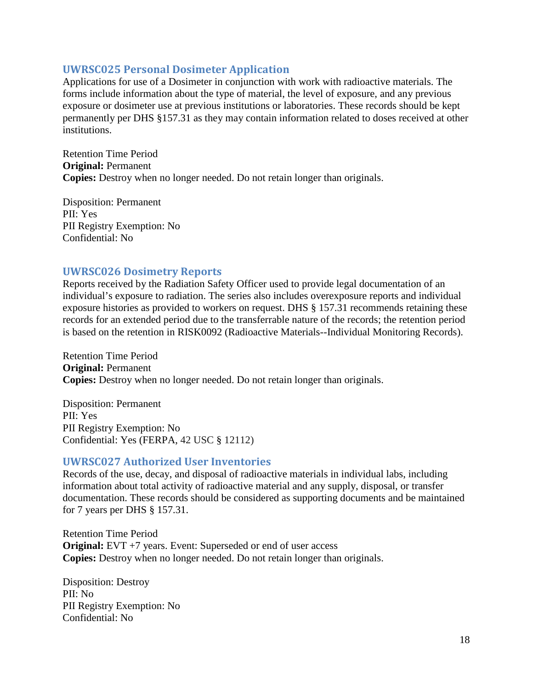#### <span id="page-17-0"></span>**UWRSC025 Personal Dosimeter Application**

Applications for use of a Dosimeter in conjunction with work with radioactive materials. The forms include information about the type of material, the level of exposure, and any previous exposure or dosimeter use at previous institutions or laboratories. These records should be kept permanently per DHS §157.31 as they may contain information related to doses received at other institutions.

Retention Time Period **Original:** Permanent **Copies:** Destroy when no longer needed. Do not retain longer than originals.

Disposition: Permanent PII: Yes PII Registry Exemption: No Confidential: No

#### <span id="page-17-1"></span>**UWRSC026 Dosimetry Reports**

Reports received by the Radiation Safety Officer used to provide legal documentation of an individual's exposure to radiation. The series also includes overexposure reports and individual exposure histories as provided to workers on request. DHS § 157.31 recommends retaining these records for an extended period due to the transferrable nature of the records; the retention period is based on the retention in RISK0092 (Radioactive Materials--Individual Monitoring Records).

Retention Time Period **Original:** Permanent **Copies:** Destroy when no longer needed. Do not retain longer than originals.

Disposition: Permanent PII: Yes PII Registry Exemption: No Confidential: Yes (FERPA, 42 USC § 12112)

#### <span id="page-17-2"></span>**UWRSC027 Authorized User Inventories**

Records of the use, decay, and disposal of radioactive materials in individual labs, including information about total activity of radioactive material and any supply, disposal, or transfer documentation. These records should be considered as supporting documents and be maintained for 7 years per DHS § 157.31.

Retention Time Period **Original:** EVT +7 years. Event: Superseded or end of user access **Copies:** Destroy when no longer needed. Do not retain longer than originals.

Disposition: Destroy PII: No PII Registry Exemption: No Confidential: No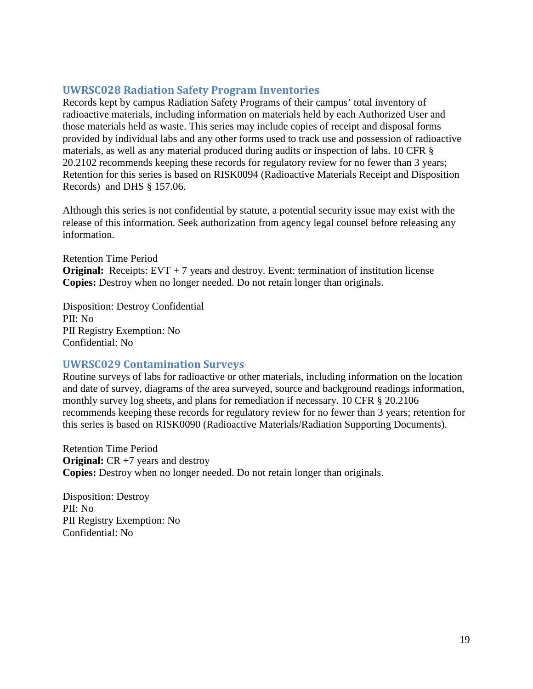#### <span id="page-18-0"></span>**UWRSC028 Radiation Safety Program Inventories**

Records kept by campus Radiation Safety Programs of their campus' total inventory of radioactive materials, including information on materials held by each Authorized User and those materials held as waste. This series may include copies of receipt and disposal forms provided by individual labs and any other forms used to track use and possession of radioactive materials, as well as any material produced during audits or inspection of labs. 10 CFR § 20.2102 recommends keeping these records for regulatory review for no fewer than 3 years; Retention for this series is based on RISK0094 (Radioactive Materials Receipt and Disposition Records) and DHS § 157.06.

Although this series is not confidential by statute, a potential security issue may exist with the release of this information. Seek authorization from agency legal counsel before releasing any information.

Retention Time Period **Original:** Receipts: EVT + 7 years and destroy. Event: termination of institution license **Copies:** Destroy when no longer needed. Do not retain longer than originals.

Disposition: Destroy Confidential PII: No PII Registry Exemption: No Confidential: No

#### <span id="page-18-1"></span>**UWRSC029 Contamination Surveys**

Routine surveys of labs for radioactive or other materials, including information on the location and date of survey, diagrams of the area surveyed, source and background readings information, monthly survey log sheets, and plans for remediation if necessary. 10 CFR § 20.2106 recommends keeping these records for regulatory review for no fewer than 3 years; retention for this series is based on RISK0090 (Radioactive Materials/Radiation Supporting Documents).

Retention Time Period **Original:** CR +7 years and destroy **Copies:** Destroy when no longer needed. Do not retain longer than originals.

Disposition: Destroy PII: No PII Registry Exemption: No Confidential: No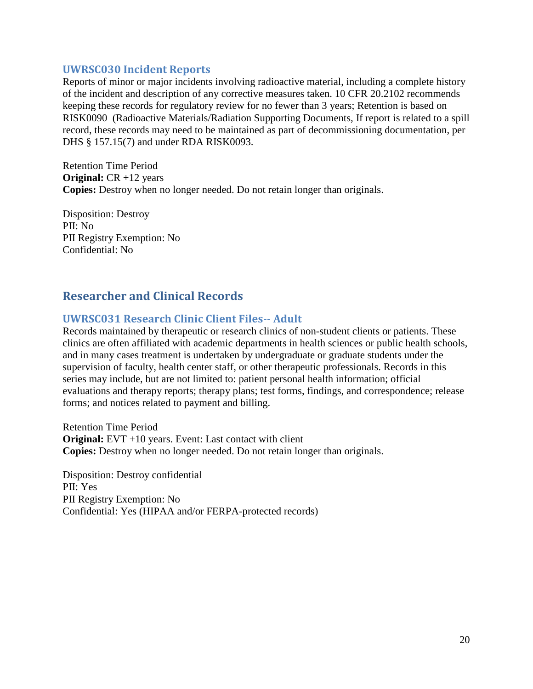#### <span id="page-19-0"></span>**UWRSC030 Incident Reports**

Reports of minor or major incidents involving radioactive material, including a complete history of the incident and description of any corrective measures taken. 10 CFR 20.2102 recommends keeping these records for regulatory review for no fewer than 3 years; Retention is based on RISK0090 (Radioactive Materials/Radiation Supporting Documents, If report is related to a spill record, these records may need to be maintained as part of decommissioning documentation, per DHS § 157.15(7) and under RDA RISK0093.

Retention Time Period **Original:** CR +12 years **Copies:** Destroy when no longer needed. Do not retain longer than originals.

Disposition: Destroy PII: No PII Registry Exemption: No Confidential: No

# <span id="page-19-1"></span>**Researcher and Clinical Records**

## <span id="page-19-2"></span>**UWRSC031 Research Clinic Client Files-- Adult**

Records maintained by therapeutic or research clinics of non-student clients or patients. These clinics are often affiliated with academic departments in health sciences or public health schools, and in many cases treatment is undertaken by undergraduate or graduate students under the supervision of faculty, health center staff, or other therapeutic professionals. Records in this series may include, but are not limited to: patient personal health information; official evaluations and therapy reports; therapy plans; test forms, findings, and correspondence; release forms; and notices related to payment and billing.

Retention Time Period **Original:** EVT +10 years. Event: Last contact with client **Copies:** Destroy when no longer needed. Do not retain longer than originals.

Disposition: Destroy confidential PII: Yes PII Registry Exemption: No Confidential: Yes (HIPAA and/or FERPA-protected records)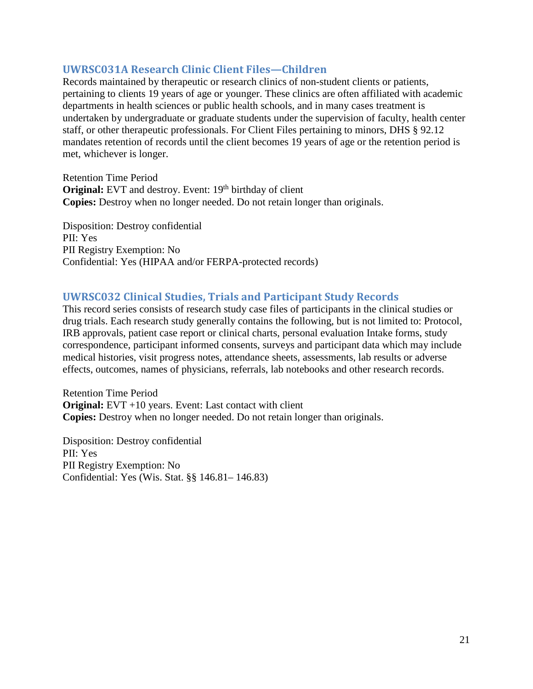#### <span id="page-20-0"></span>**UWRSC031A Research Clinic Client Files—Children**

Records maintained by therapeutic or research clinics of non-student clients or patients, pertaining to clients 19 years of age or younger. These clinics are often affiliated with academic departments in health sciences or public health schools, and in many cases treatment is undertaken by undergraduate or graduate students under the supervision of faculty, health center staff, or other therapeutic professionals. For Client Files pertaining to minors, DHS § 92.12 mandates retention of records until the client becomes 19 years of age or the retention period is met, whichever is longer.

Retention Time Period **Original:** EVT and destroy. Event: 19<sup>th</sup> birthday of client **Copies:** Destroy when no longer needed. Do not retain longer than originals.

Disposition: Destroy confidential PII: Yes PII Registry Exemption: No Confidential: Yes (HIPAA and/or FERPA-protected records)

#### <span id="page-20-1"></span>**UWRSC032 Clinical Studies, Trials and Participant Study Records**

This record series consists of research study case files of participants in the clinical studies or drug trials. Each research study generally contains the following, but is not limited to: Protocol, IRB approvals, patient case report or clinical charts, personal evaluation Intake forms, study correspondence, participant informed consents, surveys and participant data which may include medical histories, visit progress notes, attendance sheets, assessments, lab results or adverse effects, outcomes, names of physicians, referrals, lab notebooks and other research records.

Retention Time Period **Original:** EVT +10 years. Event: Last contact with client **Copies:** Destroy when no longer needed. Do not retain longer than originals.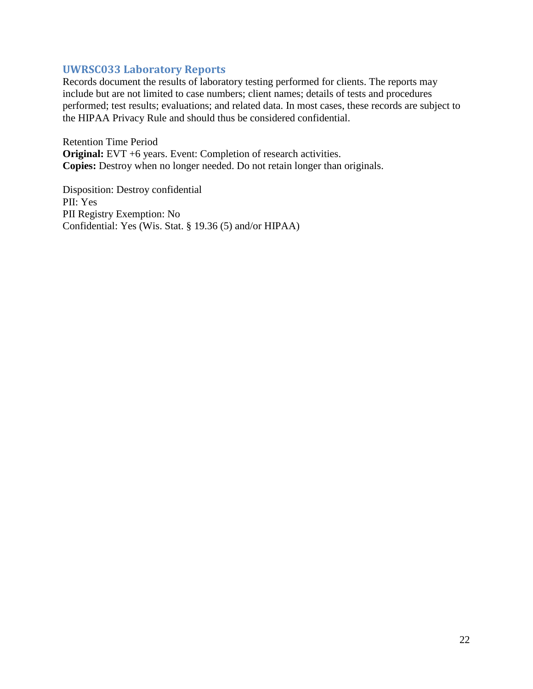#### <span id="page-21-0"></span>**UWRSC033 Laboratory Reports**

Records document the results of laboratory testing performed for clients. The reports may include but are not limited to case numbers; client names; details of tests and procedures performed; test results; evaluations; and related data. In most cases, these records are subject to the HIPAA Privacy Rule and should thus be considered confidential.

Retention Time Period **Original:** EVT +6 years. Event: Completion of research activities. **Copies:** Destroy when no longer needed. Do not retain longer than originals.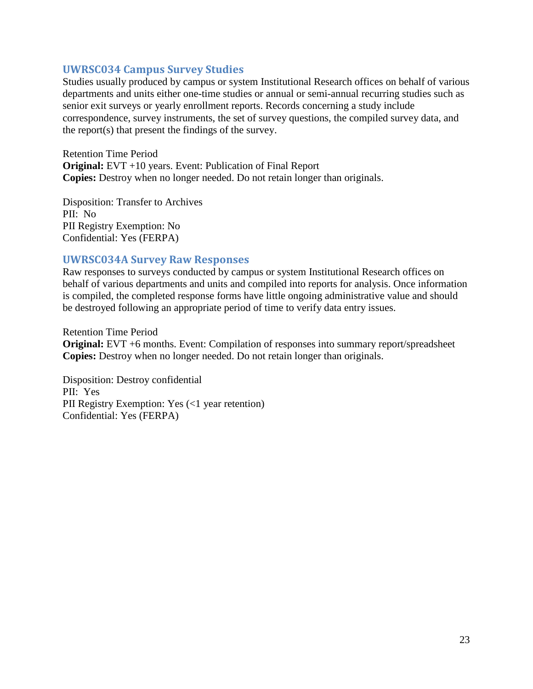#### <span id="page-22-0"></span>**UWRSC034 Campus Survey Studies**

Studies usually produced by campus or system Institutional Research offices on behalf of various departments and units either one-time studies or annual or semi-annual recurring studies such as senior exit surveys or yearly enrollment reports. Records concerning a study include correspondence, survey instruments, the set of survey questions, the compiled survey data, and the report(s) that present the findings of the survey.

Retention Time Period **Original:** EVT +10 years. Event: Publication of Final Report **Copies:** Destroy when no longer needed. Do not retain longer than originals.

Disposition: Transfer to Archives PII: No PII Registry Exemption: No Confidential: Yes (FERPA)

#### <span id="page-22-1"></span>**UWRSC034A Survey Raw Responses**

Raw responses to surveys conducted by campus or system Institutional Research offices on behalf of various departments and units and compiled into reports for analysis. Once information is compiled, the completed response forms have little ongoing administrative value and should be destroyed following an appropriate period of time to verify data entry issues.

Retention Time Period **Original:** EVT +6 months. Event: Compilation of responses into summary report/spreadsheet **Copies:** Destroy when no longer needed. Do not retain longer than originals.

Disposition: Destroy confidential PII: Yes PII Registry Exemption: Yes (<1 year retention) Confidential: Yes (FERPA)